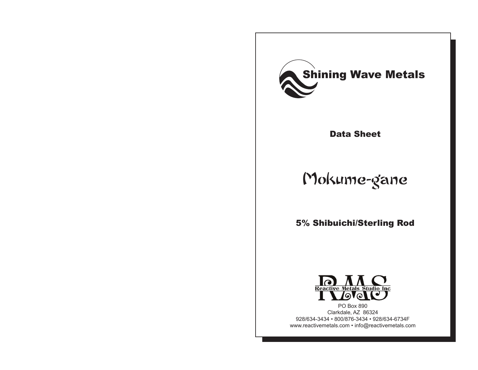

Data Sheet

# Mokume-gane

5% Shibuichi/Sterling Rod



PO Box 890 Clarkdale, AZ 86324 928/634-3434 • 800/876-3434 • 928/634-6734F www.reactivemetals.com • info@reactivemetals.com